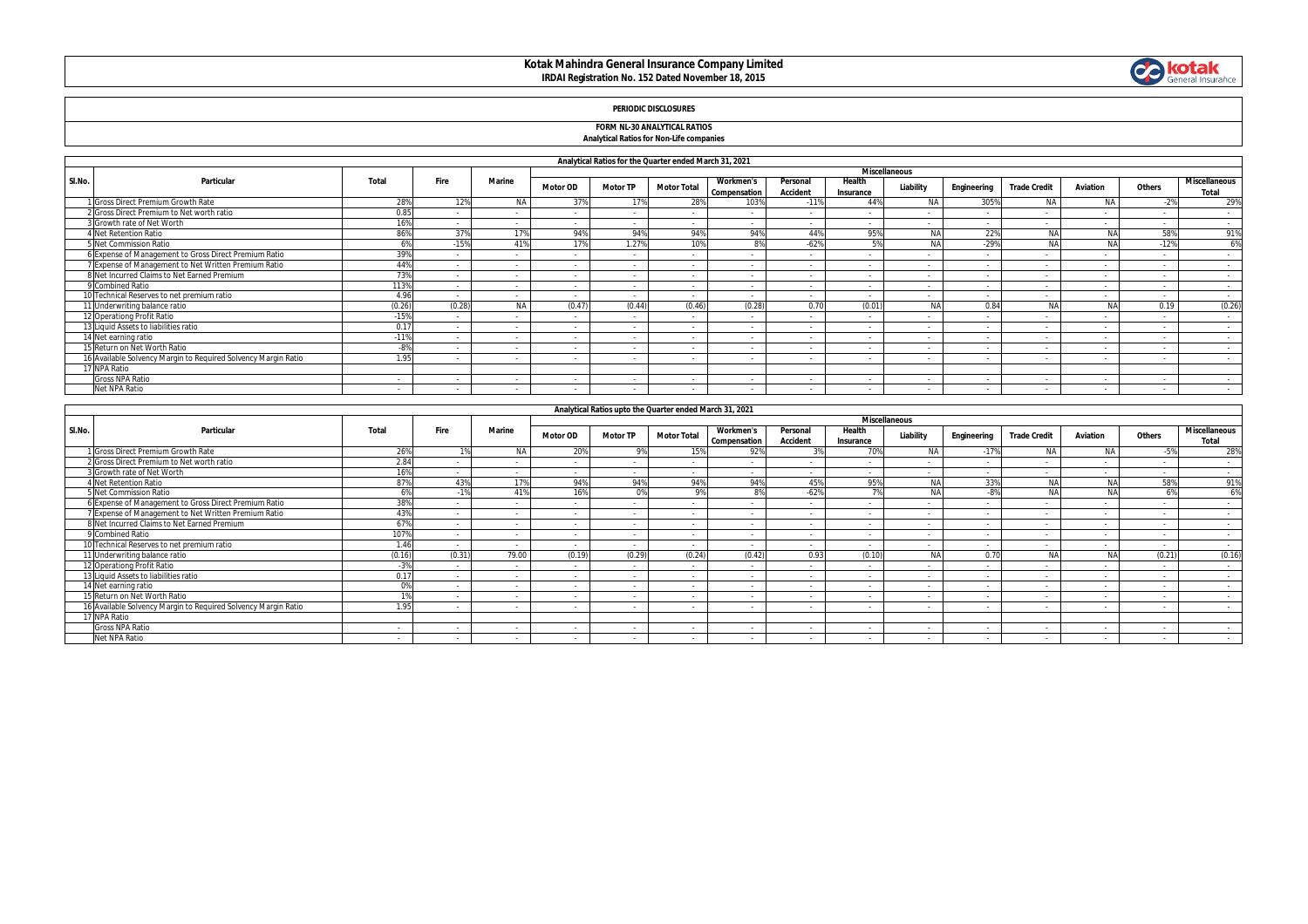# **Kotak Mahindra General Insurance Company Limited IRDAI Registration No. 152 Dated November 18, 2015**



# **PERIODIC DISCLOSURES**

### **FORM NL-30 ANALYTICAL RATIOS Analytical Ratios for Non-Life companies**

|        |                                                                |        |             |               |                      | Analytical Ratios for the Quarter ended March 31, 2021 |                    |                                  |                             |                     |                          |                          |                          |                          |               |                                      |
|--------|----------------------------------------------------------------|--------|-------------|---------------|----------------------|--------------------------------------------------------|--------------------|----------------------------------|-----------------------------|---------------------|--------------------------|--------------------------|--------------------------|--------------------------|---------------|--------------------------------------|
|        | Particular                                                     |        |             |               | <b>Miscellaneous</b> |                                                        |                    |                                  |                             |                     |                          |                          |                          |                          |               |                                      |
| SI.No. |                                                                | Total  | <b>Fire</b> | <b>Marine</b> | <b>Motor OD</b>      | <b>Motor TP</b>                                        | <b>Motor Total</b> | <b>Workmen's</b><br>Compensation | Personal<br><b>Accident</b> | Health<br>Insurance | Liability                | Engineering              | <b>Trade Credit</b>      | Aviation                 | <b>Others</b> | <b>Miscellaneous</b><br><b>Total</b> |
|        | 1 Gross Direct Premium Growth Rate                             | 28%    | 12%         | <b>NA</b>     | 37%                  | 17%                                                    | 28%                | 103%                             | $-119$                      | 44%                 | <b>NA</b>                | 305%                     | <b>NA</b>                | <b>NA</b>                | $-2%$         | 29%                                  |
|        | 2 Gross Direct Premium to Net worth ratio                      | 0.85   |             |               | $\sim$               |                                                        |                    |                                  | $\sim$                      |                     |                          | $\sim$                   | $\overline{\phantom{a}}$ |                          |               | $\sim$                               |
|        | 3 Growth rate of Net Worth                                     | 16%    |             |               | $\sim$               | $\sim$                                                 | . .                |                                  | $\sim$                      |                     | $\sim$                   | $\sim$                   | $\sim$                   | $\overline{\phantom{a}}$ |               | $\sim$                               |
|        | <b>Net Retention Ratio</b>                                     | 86%    | 37%         | 17%           | 94%                  | 94%                                                    | 94%                | 94%                              | 44%                         | 95%                 | <b>NA</b>                | 22%                      | <b>NA</b>                | NA                       | 58%           | 91%                                  |
|        | 5 Net Commission Ratio                                         |        | $-15%$      | 41%           | 17%                  | 1.27%                                                  | 10%                | 8%                               | $-62%$                      | 5%                  |                          | $-29%$                   |                          | <b>AIA</b>               | $-12%$        | 6%                                   |
|        | 6 Expense of Management to Gross Direct Premium Ratio          | 39%    |             |               | $\sim$               | $\sim$                                                 |                    |                                  | <b>.</b>                    |                     | $\overline{\phantom{a}}$ | $\sim$                   | $\sim$                   |                          |               | $\sim$                               |
|        | 7 Expense of Management to Net Written Premium Ratio           | 44%    |             |               | $\sim$               | $\sim$                                                 |                    |                                  | <b>.</b>                    |                     |                          | <b>.</b>                 | $\sim$                   |                          |               | $\sim$                               |
|        | 8 Net Incurred Claims to Net Earned Premium                    | 73%    |             |               | $\sim$               |                                                        |                    |                                  |                             |                     |                          |                          | $\sim$                   |                          |               | $\sim$                               |
|        | 9 Combined Ratio                                               | 113%   |             |               | $\sim$               |                                                        |                    |                                  |                             |                     |                          | $\sim$                   | $\overline{\phantom{a}}$ |                          |               | $\sim$                               |
|        | 10 Technical Reserves to net premium ratio                     | 4.96   |             |               | $\sim$               |                                                        |                    |                                  |                             |                     |                          |                          | $\sim$                   |                          |               | $\sim$                               |
|        | 11 Underwriting balance ratio                                  | (0.26) | (0.28)      | <b>NA</b>     | (0.47)               | (0.44)                                                 | (0.46)             | (0.28)                           | 0.70                        | (0.01)              | <b>NIA</b>               | 0.84                     | <b>AIA</b>               | <b>NIA</b>               | 0.19          | (0.26)                               |
|        | 12 Operationg Profit Ratio                                     | $-15%$ |             |               | $\sim$               | $\sim$                                                 | . .                |                                  | <b>.</b>                    |                     |                          |                          | $\overline{\phantom{a}}$ |                          |               | $\sim$                               |
|        | 13 Liquid Assets to liabilities ratio                          | 0.17   |             | $\sim$        | $\sim$               | $\sim$                                                 | ۰.                 | $\sim$                           | $\sim$                      |                     | $\overline{\phantom{a}}$ | $\overline{\phantom{a}}$ | $\sim$                   | $\overline{\phantom{a}}$ |               | $\sim$                               |
|        | 14 Net earning ratio                                           | $-11%$ |             |               | $\sim$               |                                                        |                    |                                  |                             |                     |                          |                          | $\sim$                   |                          |               |                                      |
|        | 15 Return on Net Worth Ratio                                   | $-8%$  | $\sim$      | $\sim$        | $\sim$               | $\sim$                                                 | . .                | $\sim$                           | $\sim$                      |                     | $\sim$                   | $\sim$                   | $\sim$                   | $\sim$                   |               | $\sim$                               |
|        | 16 Available Solvency Margin to Reguired Solvency Margin Ratio | 1.95   |             | $\sim$        | $\sim$               | $\sim$                                                 | $\overline{a}$     | $\sim$                           | $\sim$                      |                     | $\overline{\phantom{a}}$ | $\sim$                   | $\sim$                   | $\sim$                   |               | $\sim$                               |
|        | 17 NPA Ratio                                                   |        |             |               |                      |                                                        |                    |                                  |                             |                     |                          |                          |                          |                          |               |                                      |
|        | <b>Gross NPA Ratio</b>                                         |        |             |               |                      |                                                        |                    |                                  |                             |                     |                          |                          |                          |                          |               |                                      |
|        | Net NPA Ratio                                                  |        |             |               | $\sim$               | $\sim$                                                 |                    | $\sim$                           | $\sim$                      |                     |                          |                          | $\sim$                   | $\sim$                   |               | $\sim$                               |

|        |                                                                |                       |        |               |                          | Analytical Ratios upto the Quarter ended March 31, 2021 |                    |                                  |                             |                          |                      |             |                     |           |        |                        |
|--------|----------------------------------------------------------------|-----------------------|--------|---------------|--------------------------|---------------------------------------------------------|--------------------|----------------------------------|-----------------------------|--------------------------|----------------------|-------------|---------------------|-----------|--------|------------------------|
|        |                                                                |                       |        |               |                          |                                                         |                    |                                  |                             |                          | <b>Miscellaneous</b> |             |                     |           |        |                        |
| SI.No. | Particular                                                     | Total                 | Fire   | <b>Marine</b> | <b>Motor OD</b>          | <b>Motor TP</b>                                         | <b>Motor Total</b> | <b>Workmen's</b><br>Compensation | Personal<br><b>Accident</b> | Health<br>Insurance      | Liability            | Engineering | <b>Trade Credit</b> | Aviation  | Others | Miscellaneous<br>Total |
|        | 1 Gross Direct Premium Growth Rate                             | 26%                   |        | <b>NA</b>     | 20%                      | 9%                                                      | 15%                | 92%                              |                             | 70%                      | NA                   | $-17%$      | <b>NA</b>           | NA.       | $-5%$  | 28%                    |
|        | 2 Gross Direct Premium to Net worth ratio                      | 2.84                  |        |               | $\overline{a}$           | $\overline{a}$                                          | <b>.</b>           |                                  | $\sim$                      | $\sim$                   |                      |             |                     |           |        | $\sim$                 |
|        | 3 Growth rate of Net Worth                                     | 16%                   | $\sim$ |               | $\sim$                   | $\sim$                                                  | $\sim$             |                                  | $\sim$                      | $\sim$                   | $\sim$               | $\sim$      | $\sim$              | $\sim$    | $\sim$ | $\sim$                 |
|        | <b>Net Retention Ratio</b>                                     | 87%                   | 43%    | 17%           | 94%                      | 94%                                                     | 94%                | 94%                              | 45%                         | 95%                      | NA                   | 33%         | NA                  | NA        | 58%    | 91%                    |
|        | 5 Net Commission Ratio                                         | 6%                    | .1%    | 41%           | 16%                      | 0%                                                      | Q <sub>0</sub>     | 8%                               | $-62%$                      | 7%                       | <b>NA</b>            | $-8%$       | <b>NA</b>           | <b>NA</b> | 6%     | 6%                     |
|        | 6 Expense of Management to Gross Direct Premium Ratio          | 38%                   |        |               | $\sim$                   | $\sim$                                                  | $\sim$             |                                  | $\sim$                      |                          |                      |             | $\sim$              |           |        | $\sim$                 |
|        | 7 Expense of Management to Net Written Premium Ratio           | 439                   |        |               | $\sim$                   | $\sim$                                                  | $\sim$             |                                  | $\sim$                      |                          |                      | $\sim$      | $\sim$              |           |        | $\sim$                 |
|        | 8 Net Incurred Claims to Net Earned Premium                    | 67%                   |        |               | $\sim$                   |                                                         |                    |                                  |                             |                          |                      |             |                     |           |        |                        |
|        | 9 Combined Ratio                                               | 1079                  | . .    |               | $\overline{a}$           | $\sim$                                                  | $\sim$             | $\overline{\phantom{a}}$         | $\sim$                      | $\sim$                   |                      | $\sim$      | $\sim$              |           | $\sim$ | $\sim$                 |
|        | 10 Technical Reserves to net premium ratio                     | 146                   |        |               | $\overline{\phantom{a}}$ | $\sim$                                                  | $\sim$             |                                  | $\sim$                      |                          |                      |             |                     |           |        |                        |
|        | 11 Underwriting balance ratio                                  | (0.16)                | (0.31) | 79.00         | (0.19)                   | (0.29)                                                  | (0.24)             | (0.42)                           | 0.93                        | (0.10)                   | <b>AIA</b>           | 0.70        | <b>AIA</b>          | NA        | (0.21) | (0.16)                 |
|        | 12 Operationg Profit Ratio                                     | $-3%$                 | $\sim$ |               | $\sim$                   | $\sim$                                                  | $\sim$             |                                  | $\sim$                      | $\sim$                   |                      |             | $\sim$              |           |        | $\sim$                 |
|        | 13 Liquid Assets to liabilities ratio                          | 0.1                   |        |               |                          |                                                         | $\sim$             |                                  | $\sim$                      | $\sim$                   |                      |             | $\sim$              |           | $\sim$ | $\sim$                 |
|        | 14 Net earning ratio                                           | $\Omega$ <sup>9</sup> | . .    |               | $\sim$                   | $\sim$                                                  | $\sim$             |                                  | $\overline{\phantom{a}}$    |                          |                      |             |                     |           | $\sim$ | $\sim$                 |
|        | 15 Return on Net Worth Ratio                                   |                       | $\sim$ |               | $\sim$                   |                                                         | <b>.</b>           |                                  | $\sim$                      | $\sim$                   | $\sim$               | $\sim$      | $\sim$              |           | $\sim$ | $\sim$                 |
|        | 16 Available Solvency Margin to Reguired Solvency Margin Ratio | 1.95                  |        |               |                          |                                                         | $\sim$             |                                  |                             |                          |                      |             |                     |           |        | $\sim$                 |
|        | 17 NPA Ratio                                                   |                       |        |               |                          |                                                         |                    |                                  |                             |                          |                      |             |                     |           |        |                        |
|        | <b>Gross NPA Ratio</b>                                         | $\sim$                | $\sim$ | $\sim$        | $\sim$                   | $\sim$                                                  | $\sim$             | . .                              | $\sim$                      | $\overline{\phantom{a}}$ | $\sim$               | $\sim$      | $\sim$              |           | $\sim$ | $\sim$                 |
|        | Net NPA Ratio                                                  | $\sim$                |        |               |                          |                                                         |                    |                                  |                             |                          |                      |             |                     |           |        | $\sim$                 |